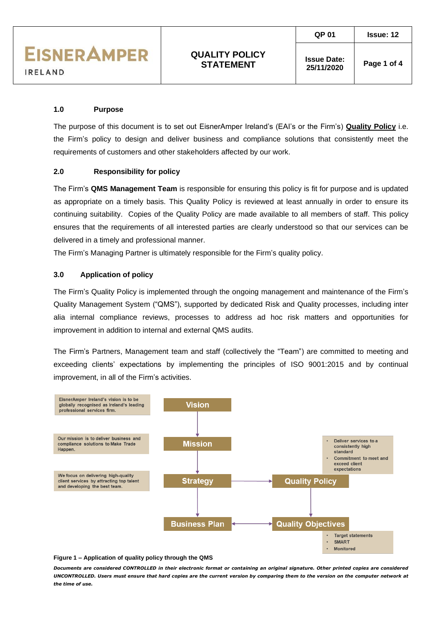**Issue Date:** 

# **1.0 Purpose**

The purpose of this document is to set out EisnerAmper Ireland's (EAI's or the Firm's) **Quality Policy** i.e. the Firm's policy to design and deliver business and compliance solutions that consistently meet the requirements of customers and other stakeholders affected by our work.

### **2.0 Responsibility for policy**

The Firm's **QMS Management Team** is responsible for ensuring this policy is fit for purpose and is updated as appropriate on a timely basis. This Quality Policy is reviewed at least annually in order to ensure its continuing suitability. Copies of the Quality Policy are made available to all members of staff. This policy ensures that the requirements of all interested parties are clearly understood so that our services can be delivered in a timely and professional manner.

The Firm's Managing Partner is ultimately responsible for the Firm's quality policy.

### **3.0 Application of policy**

The Firm's Quality Policy is implemented through the ongoing management and maintenance of the Firm's Quality Management System ("QMS"), supported by dedicated Risk and Quality processes, including inter alia internal compliance reviews, processes to address ad hoc risk matters and opportunities for improvement in addition to internal and external QMS audits.

The Firm's Partners, Management team and staff (collectively the "Team") are committed to meeting and exceeding clients' expectations by implementing the principles of ISO 9001:2015 and by continual improvement, in all of the Firm's activities.



*Documents are considered CONTROLLED in their electronic format or containing an original signature. Other printed copies are considered UNCONTROLLED. Users must ensure that hard copies are the current version by comparing them to the version on the computer network at the time of use.*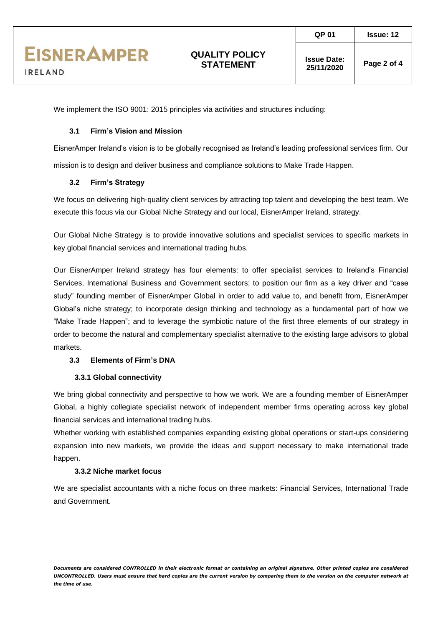**Issue Date:** 

We implement the ISO 9001: 2015 principles via activities and structures including:

## **3.1 Firm's Vision and Mission**

EisnerAmper Ireland's vision is to be globally recognised as Ireland's leading professional services firm. Our mission is to design and deliver business and compliance solutions to Make Trade Happen.

# **3.2 Firm's Strategy**

We focus on delivering high-quality client services by attracting top talent and developing the best team. We execute this focus via our Global Niche Strategy and our local, EisnerAmper Ireland, strategy.

Our Global Niche Strategy is to provide innovative solutions and specialist services to specific markets in key global financial services and international trading hubs.

Our EisnerAmper Ireland strategy has four elements: to offer specialist services to Ireland's Financial Services, International Business and Government sectors; to position our firm as a key driver and "case study" founding member of EisnerAmper Global in order to add value to, and benefit from, EisnerAmper Global's niche strategy; to incorporate design thinking and technology as a fundamental part of how we "Make Trade Happen"; and to leverage the symbiotic nature of the first three elements of our strategy in order to become the natural and complementary specialist alternative to the existing large advisors to global markets.

### **3.3 Elements of Firm's DNA**

### **3.3.1 Global connectivity**

We bring global connectivity and perspective to how we work. We are a founding member of EisnerAmper Global, a highly collegiate specialist network of independent member firms operating across key global financial services and international trading hubs.

Whether working with established companies expanding existing global operations or start-ups considering expansion into new markets, we provide the ideas and support necessary to make international trade happen.

### **3.3.2 Niche market focus**

We are specialist accountants with a niche focus on three markets: Financial Services, International Trade and Government.

*Documents are considered CONTROLLED in their electronic format or containing an original signature. Other printed copies are considered UNCONTROLLED. Users must ensure that hard copies are the current version by comparing them to the version on the computer network at the time of use.*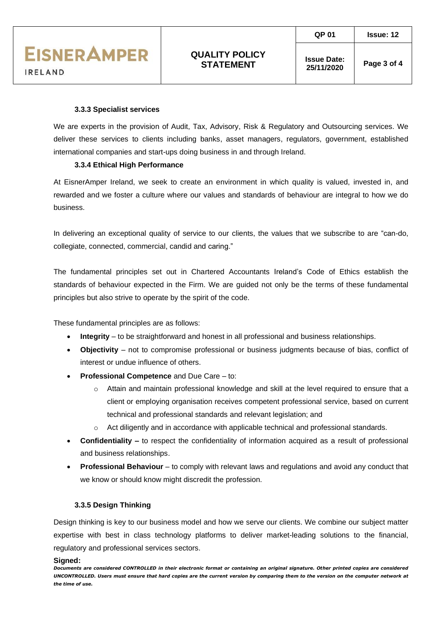**Issue Date:** 

#### **3.3.3 Specialist services**

We are experts in the provision of Audit, Tax, Advisory, Risk & Regulatory and Outsourcing services. We deliver these services to clients including banks, asset managers, regulators, government, established international companies and start-ups doing business in and through Ireland.

### **3.3.4 Ethical High Performance**

At EisnerAmper Ireland, we seek to create an environment in which quality is valued, invested in, and rewarded and we foster a culture where our values and standards of behaviour are integral to how we do business.

In delivering an exceptional quality of service to our clients, the values that we subscribe to are "can-do, collegiate, connected, commercial, candid and caring."

The fundamental principles set out in Chartered Accountants Ireland's Code of Ethics establish the standards of behaviour expected in the Firm. We are guided not only be the terms of these fundamental principles but also strive to operate by the spirit of the code.

These fundamental principles are as follows:

- **Integrity** to be straightforward and honest in all professional and business relationships.
- **Objectivity** not to compromise professional or business judgments because of bias, conflict of interest or undue influence of others.
- **Professional Competence** and Due Care to:
	- $\circ$  Attain and maintain professional knowledge and skill at the level required to ensure that a client or employing organisation receives competent professional service, based on current technical and professional standards and relevant legislation; and
	- Act diligently and in accordance with applicable technical and professional standards.
- **Confidentiality –** to respect the confidentiality of information acquired as a result of professional and business relationships.
- **Professional Behaviour** to comply with relevant laws and regulations and avoid any conduct that we know or should know might discredit the profession.

#### **3.3.5 Design Thinking**

Design thinking is key to our business model and how we serve our clients. We combine our subject matter expertise with best in class technology platforms to deliver market-leading solutions to the financial, regulatory and professional services sectors.

#### **Signed:**

*Documents are considered CONTROLLED in their electronic format or containing an original signature. Other printed copies are considered UNCONTROLLED. Users must ensure that hard copies are the current version by comparing them to the version on the computer network at the time of use.*